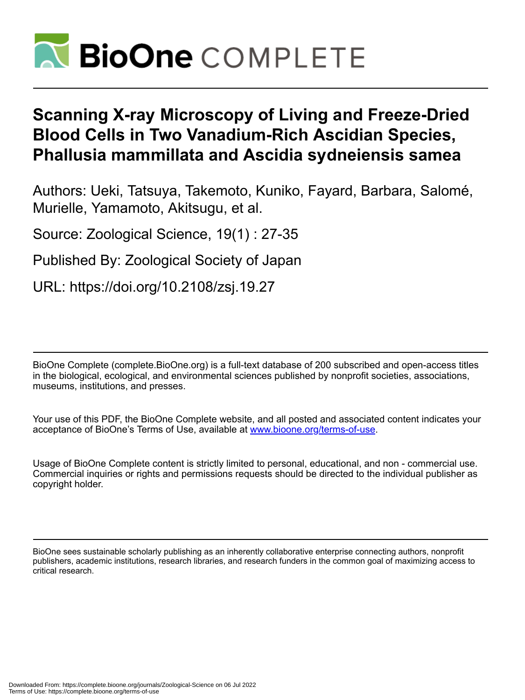

# **Scanning X-ray Microscopy of Living and Freeze-Dried Blood Cells in Two Vanadium-Rich Ascidian Species, Phallusia mammillata and Ascidia sydneiensis samea**

Authors: Ueki, Tatsuya, Takemoto, Kuniko, Fayard, Barbara, Salomé, Murielle, Yamamoto, Akitsugu, et al.

Source: Zoological Science, 19(1) : 27-35

Published By: Zoological Society of Japan

URL: https://doi.org/10.2108/zsj.19.27

BioOne Complete (complete.BioOne.org) is a full-text database of 200 subscribed and open-access titles in the biological, ecological, and environmental sciences published by nonprofit societies, associations, museums, institutions, and presses.

Your use of this PDF, the BioOne Complete website, and all posted and associated content indicates your acceptance of BioOne's Terms of Use, available at www.bioone.org/terms-of-use.

Usage of BioOne Complete content is strictly limited to personal, educational, and non - commercial use. Commercial inquiries or rights and permissions requests should be directed to the individual publisher as copyright holder.

BioOne sees sustainable scholarly publishing as an inherently collaborative enterprise connecting authors, nonprofit publishers, academic institutions, research libraries, and research funders in the common goal of maximizing access to critical research.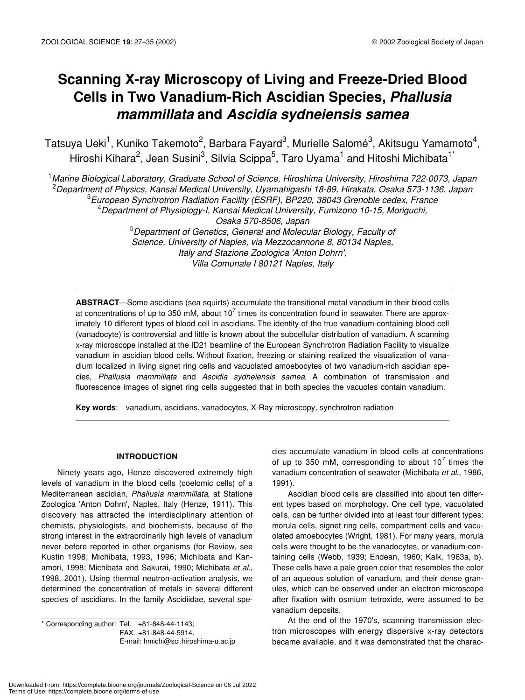## **Scanning X-ray Microscopy of Living and Freeze-Dried Blood Cells in Two Vanadium-Rich Ascidian Species,** *Phallusia mammillata* **and** *Ascidia sydneiensis samea*

Tatsuya Ueki<sup>1</sup>, Kuniko Takemoto<sup>2</sup>, Barbara Fayard<sup>3</sup>, Murielle Salomé<sup>3</sup>, Akitsugu Yamamoto<sup>4</sup>, Hiroshi Kihara<sup>2</sup>, Jean Susini<sup>3</sup>, Silvia Scippa<sup>5</sup>, Taro Uyama<sup>1</sup> and Hitoshi Michibata<sup>1\*</sup>

 *Marine Biological Laboratory, Graduate School of Science, Hiroshima University, Hiroshima 722-0073, Japan Department of Physics, Kansai Medical University, Uyamahigashi 18-89, Hirakata, Osaka 573-1136, Japan European Synchrotron Radiation Facility (ESRF), BP220, 38043 Grenoble cedex, France Department of Physiology-I, Kansai Medical University, Fumizono 10-15, Moriguchi, Osaka 570-8506, Japan Department of Genetics, General and Molecular Biology, Faculty of Science, University of Naples, via Mezzocannone 8, 80134 Naples, Italy and Stazione Zoologica 'Anton Dohrn',*

*Villa Comunale I 80121 Naples, Italy*

**ABSTRACT**—Some ascidians (sea squirts) accumulate the transitional metal vanadium in their blood cells at concentrations of up to 350 mM, about 10<sup>7</sup> times its concentration found in seawater. There are approximately 10 different types of blood cell in ascidians. The identity of the true vanadium-containing blood cell (vanadocyte) is controversial and little is known about the subcellular distribution of vanadium. A scanning x-ray microscope installed at the ID21 beamline of the European Synchrotron Radiation Facility to visualize vanadium in ascidian blood cells. Without fixation, freezing or staining realized the visualization of vanadium localized in living signet ring cells and vacuolated amoebocytes of two vanadium-rich ascidian species, *Phallusia mammillata* and *Ascidia sydneiensis samea*. A combination of transmission and fluorescence images of signet ring cells suggested that in both species the vacuoles contain vanadium.

**Key words**: vanadium, ascidians, vanadocytes, X-Ray microscopy, synchrotron radiation

#### **INTRODUCTION**

Ninety years ago, Henze discovered extremely high levels of vanadium in the blood cells (coelomic cells) of a Mediterranean ascidian, *Phallusia mammillata*, at Statione Zoologica 'Anton Dohrn', Naples, Italy (Henze, 1911). This discovery has attracted the interdisciplinary attention of chemists, physiologists, and biochemists, because of the strong interest in the extraordinarily high levels of vanadium never before reported in other organisms (for Review, see Kustin 1998; Michibata, 1993, 1996; Michibata and Kanamori, 1998; Michibata and Sakurai, 1990; Michibata *et al.*, 1998, 2001). Using thermal neutron-activation analysis, we determined the concentration of metals in several different species of ascidians. In the family Ascidiidae, several spe-

\* Corresponding author: Tel. +81-848-44-1143; FAX. +81-848-44-5914. E-mail: hmichi@sci.hiroshima-u.ac.jp cies accumulate vanadium in blood cells at concentrations of up to 350 mM, corresponding to about 10<sup>7</sup> times the vanadium concentration of seawater (Michibata *et al*., 1986, 1991).

Ascidian blood cells are classified into about ten different types based on morphology. One cell type, vacuolated cells, can be further divided into at least four different types: morula cells, signet ring cells, compartment cells and vacuolated amoebocytes (Wright, 1981). For many years, morula cells were thought to be the vanadocytes, or vanadium-containing cells (Webb, 1939; Endean, 1960; Kalk, 1963a, b). These cells have a pale green color that resembles the color of an aqueous solution of vanadium, and their dense granules, which can be observed under an electron microscope after fixation with osmium tetroxide, were assumed to be vanadium deposits.

At the end of the 1970's, scanning transmission electron microscopes with energy dispersive x-ray detectors became available, and it was demonstrated that the charac-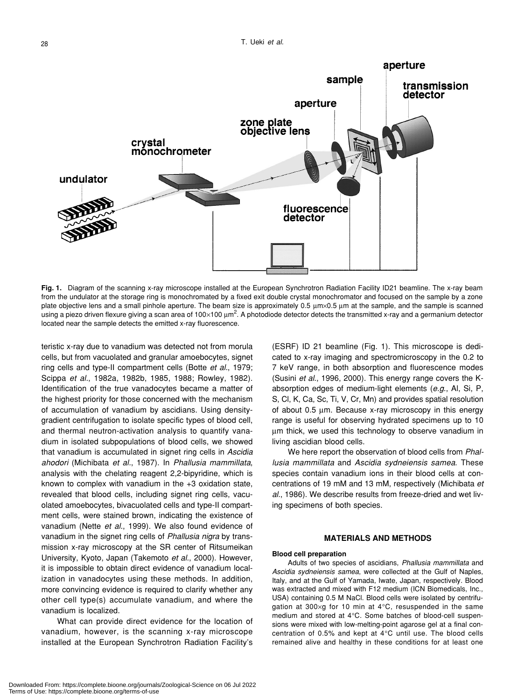

**Fig. 1.** Diagram of the scanning x-ray microscope installed at the European Synchrotron Radiation Facility ID21 beamline. The x-ray beam from the undulator at the storage ring is monochromated by a fixed exit double crystal monochromator and focused on the sample by a zone plate objective lens and a small pinhole aperture. The beam size is approximately 0.5  $\mu$ m $\times$ 0.5  $\mu$ m at the sample, and the sample is scanned using a piezo driven flexure giving a scan area of 100×100  $\mu$ m<sup>2</sup>. A photodiode detector detects the transmitted x-ray and a germanium detector located near the sample detects the emitted x-ray fluorescence.

teristic x-ray due to vanadium was detected not from morula cells, but from vacuolated and granular amoebocytes, signet ring cells and type-II compartment cells (Botte *et al.*, 1979; Scippa *et al.*, 1982a, 1982b, 1985, 1988; Rowley, 1982). Identification of the true vanadocytes became a matter of the highest priority for those concerned with the mechanism of accumulation of vanadium by ascidians. Using densitygradient centrifugation to isolate specific types of blood cell, and thermal neutron-activation analysis to quantify vanadium in isolated subpopulations of blood cells, we showed that vanadium is accumulated in signet ring cells in *Ascidia ahodori* (Michibata *et al.*, 1987). In *Phallusia mammillata*, analysis with the chelating reagent 2,2-bipyridine, which is known to complex with vanadium in the +3 oxidation state, revealed that blood cells, including signet ring cells, vacuolated amoebocytes, bivacuolated cells and type-II compartment cells, were stained brown, indicating the existence of vanadium (Nette *et al.*, 1999). We also found evidence of vanadium in the signet ring cells of *Phallusia nigra* by transmission x-ray microscopy at the SR center of Ritsumeikan University, Kyoto, Japan (Takemoto *et al.*, 2000). However, it is impossible to obtain direct evidence of vanadium localization in vanadocytes using these methods. In addition, more convincing evidence is required to clarify whether any other cell type(s) accumulate vanadium, and where the vanadium is localized.

What can provide direct evidence for the location of vanadium, however, is the scanning x-ray microscope installed at the European Synchrotron Radiation Facility's

(ESRF) ID 21 beamline (Fig. 1). This microscope is dedicated to x-ray imaging and spectromicroscopy in the 0.2 to 7 keV range, in both absorption and fluorescence modes (Susini *et al*., 1996, 2000). This energy range covers the Kabsorption edges of medium-light elements (*e.g*., Al, Si, P, S, Cl, K, Ca, Sc, Ti, V, Cr, Mn) and provides spatial resolution of about 0.5 µm. Because x-ray microscopy in this energy range is useful for observing hydrated specimens up to 10 µm thick, we used this technology to observe vanadium in living ascidian blood cells.

We here report the observation of blood cells from *Phallusia mammillata* and *Ascidia sydneiensis samea*. These species contain vanadium ions in their blood cells at concentrations of 19 mM and 13 mM, respectively (Michibata *et al.*, 1986). We describe results from freeze-dried and wet living specimens of both species.

#### **MATERIALS AND METHODS**

#### **Blood cell preparation**

Adults of two species of ascidians, *Phallusia mammillata* and *Ascidia sydneiensis samea*, were collected at the Gulf of Naples, Italy, and at the Gulf of Yamada, Iwate, Japan, respectively. Blood was extracted and mixed with F12 medium (ICN Biomedicals, Inc., USA) containing 0.5 M NaCl. Blood cells were isolated by centrifugation at 300×g for 10 min at 4°C, resuspended in the same medium and stored at 4°C. Some batches of blood-cell suspensions were mixed with low-melting-point agarose gel at a final concentration of 0.5% and kept at 4°C until use. The blood cells remained alive and healthy in these conditions for at least one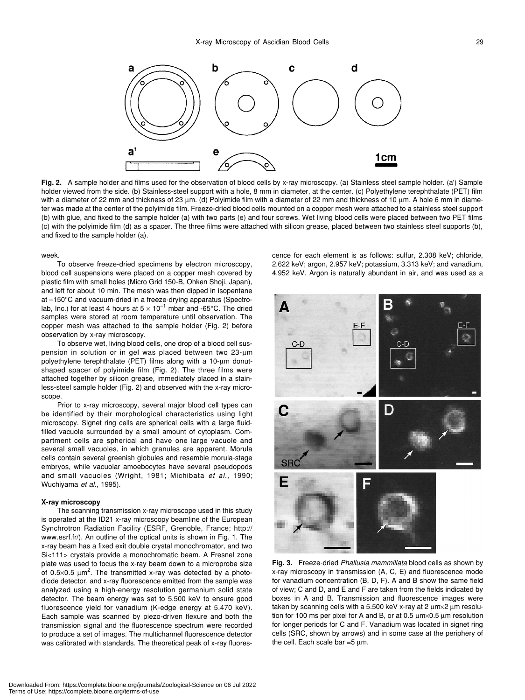

**Fig. 2.** A sample holder and films used for the observation of blood cells by x-ray microscopy. (a) Stainless steel sample holder. (a') Sample holder viewed from the side. (b) Stainless-steel support with a hole, 8 mm in diameter, at the center. (c) Polyethylene terephthalate (PET) film with a diameter of 22 mm and thickness of 23 μm. (d) Polyimide film with a diameter of 22 mm and thickness of 10 μm. A hole 6 mm in diameter was made at the center of the polyimide film. Freeze-dried blood cells mounted on a copper mesh were attached to a stainless steel support (b) with glue, and fixed to the sample holder (a) with two parts (e) and four screws. Wet living blood cells were placed between two PET films (c) with the polyimide film (d) as a spacer. The three films were attached with silicon grease, placed between two stainless steel supports (b), and fixed to the sample holder (a).

#### week

To observe freeze-dried specimens by electron microscopy, blood cell suspensions were placed on a copper mesh covered by plastic film with small holes (Micro Grid 150-B, Ohken Shoji, Japan), and left for about 10 min. The mesh was then dipped in isopentane at –150°C and vacuum-dried in a freeze-drying apparatus (Spectrolab, Inc.) for at least 4 hours at  $5 \times 10^{-1}$  mbar and -65°C. The dried samples were stored at room temperature until observation. The copper mesh was attached to the sample holder (Fig. 2) before observation by x-ray microscopy.

To observe wet, living blood cells, one drop of a blood cell suspension in solution or in gel was placed between two 23-µm polyethylene terephthalate (PET) films along with a 10-µm donutshaped spacer of polyimide film (Fig. 2). The three films were attached together by silicon grease, immediately placed in a stainless-steel sample holder (Fig. 2) and observed with the x-ray microscope.

Prior to x-ray microscopy, several major blood cell types can be identified by their morphological characteristics using light microscopy. Signet ring cells are spherical cells with a large fluidfilled vacuole surrounded by a small amount of cytoplasm. Compartment cells are spherical and have one large vacuole and several small vacuoles, in which granules are apparent. Morula cells contain several greenish globules and resemble morula-stage embryos, while vacuolar amoebocytes have several pseudopods and small vacuoles (Wright, 1981; Michibata *et al.*, 1990; Wuchiyama *et al.*, 1995).

#### **X-ray microscopy**

The scanning transmission x-ray microscope used in this study is operated at the ID21 x-ray microscopy beamline of the European Synchrotron Radiation Facility (ESRF, Grenoble, France; http:// www.esrf.fr/). An outline of the optical units is shown in Fig. 1. The x-ray beam has a fixed exit double crystal monochromator, and two Si<111> crystals provide a monochromatic beam. A Fresnel zone plate was used to focus the x-ray beam down to a microprobe size of 0.5 $\times$ 0.5  $\mu$ m<sup>2</sup>. The transmitted x-ray was detected by a photodiode detector, and x-ray fluorescence emitted from the sample was analyzed using a high-energy resolution germanium solid state detector. The beam energy was set to 5.500 keV to ensure good fluorescence yield for vanadium (K-edge energy at 5.470 keV). Each sample was scanned by piezo-driven flexure and both the transmission signal and the fluorescence spectrum were recorded to produce a set of images. The multichannel fluorescence detector was calibrated with standards. The theoretical peak of x-ray fluorescence for each element is as follows: sulfur, 2.308 keV; chloride, 2.622 keV; argon, 2.957 keV; potassium, 3.313 keV; and vanadium, 4.952 keV. Argon is naturally abundant in air, and was used as a



**Fig. 3.** Freeze-dried *Phallusia mammillata* blood cells as shown by x-ray microscopy in transmission (A, C, E) and fluorescence mode for vanadium concentration (B, D, F). A and B show the same field of view; C and D, and E and F are taken from the fields indicated by boxes in A and B. Transmission and fluorescence images were taken by scanning cells with a 5.500 keV x-ray at 2  $\mu$ m $\times$ 2  $\mu$ m resolution for 100 ms per pixel for A and B, or at 0.5  $\mu$ m $\times$ 0.5  $\mu$ m resolution for longer periods for C and F. Vanadium was located in signet ring cells (SRC, shown by arrows) and in some case at the periphery of the cell. Each scale bar  $=5 \mu m$ .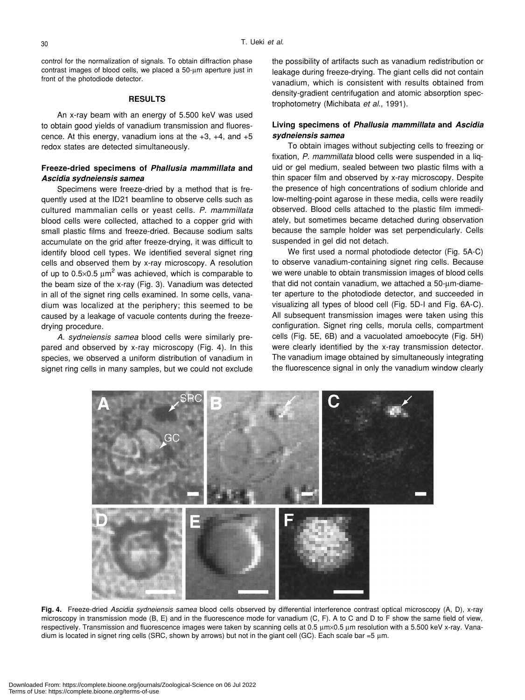control for the normalization of signals. To obtain diffraction phase contrast images of blood cells, we placed a 50-µm aperture just in front of the photodiode detector.

### **RESULTS**

An x-ray beam with an energy of 5.500 keV was used to obtain good yields of vanadium transmission and fluorescence. At this energy, vanadium ions at the  $+3$ ,  $+4$ , and  $+5$ redox states are detected simultaneously.

## **Freeze-dried specimens of** *Phallusia mammillata* **and** *Ascidia sydneiensis samea*

Specimens were freeze-dried by a method that is frequently used at the ID21 beamline to observe cells such as cultured mammalian cells or yeast cells. *P. mammillata* blood cells were collected, attached to a copper grid with small plastic films and freeze-dried. Because sodium salts accumulate on the grid after freeze-drying, it was difficult to identify blood cell types. We identified several signet ring cells and observed them by x-ray microscopy. A resolution of up to 0.5 $\times$ 0.5  $\mu$ m<sup>2</sup> was achieved, which is comparable to the beam size of the x-ray (Fig. 3). Vanadium was detected in all of the signet ring cells examined. In some cells, vanadium was localized at the periphery; this seemed to be caused by a leakage of vacuole contents during the freezedrying procedure.

*A. sydneiensis samea* blood cells were similarly prepared and observed by x-ray microscopy (Fig. 4). In this species, we observed a uniform distribution of vanadium in signet ring cells in many samples, but we could not exclude

the possibility of artifacts such as vanadium redistribution or leakage during freeze-drying. The giant cells did not contain vanadium, which is consistent with results obtained from density-gradient centrifugation and atomic absorption spectrophotometry (Michibata *et al*., 1991).

## **Living specimens of** *Phallusia mammillata* **and** *Ascidia sydneiensis samea*

To obtain images without subjecting cells to freezing or fixation, *P. mammillata* blood cells were suspended in a liquid or gel medium, sealed between two plastic films with a thin spacer film and observed by x-ray microscopy. Despite the presence of high concentrations of sodium chloride and low-melting-point agarose in these media, cells were readily observed. Blood cells attached to the plastic film immediately, but sometimes became detached during observation because the sample holder was set perpendicularly. Cells suspended in gel did not detach.

We first used a normal photodiode detector (Fig. 5A-C) to observe vanadium-containing signet ring cells. Because we were unable to obtain transmission images of blood cells that did not contain vanadium, we attached a 50-µm-diameter aperture to the photodiode detector, and succeeded in visualizing all types of blood cell (Fig. 5D-I and Fig. 6A-C). All subsequent transmission images were taken using this configuration. Signet ring cells, morula cells, compartment cells (Fig. 5E, 6B) and a vacuolated amoebocyte (Fig. 5H) were clearly identified by the x-ray transmission detector. The vanadium image obtained by simultaneously integrating the fluorescence signal in only the vanadium window clearly



**Fig. 4.** Freeze-dried *Ascidia sydneiensis samea* blood cells observed by differential interference contrast optical microscopy (A, D), x-ray microscopy in transmission mode (B, E) and in the fluorescence mode for vanadium (C, F). A to C and D to F show the same field of view, respectively. Transmission and fluorescence images were taken by scanning cells at 0.5  $\mu$ m x0.5  $\mu$ m resolution with a 5.500 keV x-ray. Vanadium is located in signet ring cells (SRC, shown by arrows) but not in the giant cell (GC). Each scale bar =5  $\mu$ m.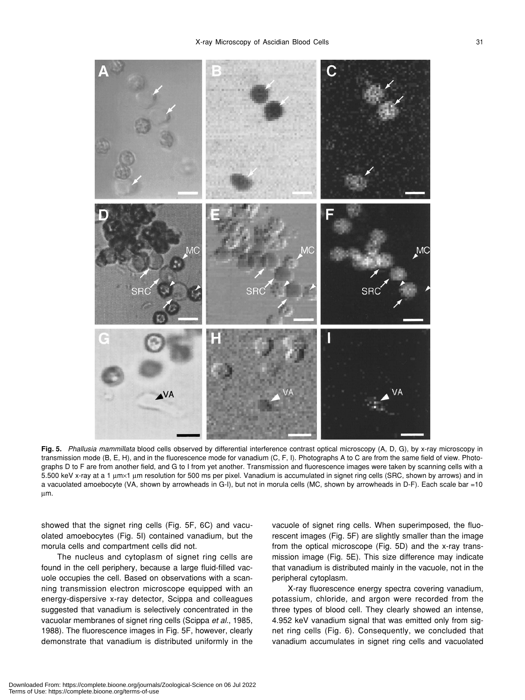

**Fig. 5.** *Phallusia mammillata* blood cells observed by differential interference contrast optical microscopy (A, D, G), by x-ray microscopy in transmission mode (B, E, H), and in the fluorescence mode for vanadium (C, F, I). Photographs A to C are from the same field of view. Photographs D to F are from another field, and G to I from yet another. Transmission and fluorescence images were taken by scanning cells with a 5.500 keV x-ray at a 1 µm×1 µm resolution for 500 ms per pixel. Vanadium is accumulated in signet ring cells (SRC, shown by arrows) and in a vacuolated amoebocyte (VA, shown by arrowheads in G-I), but not in morula cells (MC, shown by arrowheads in D-F). Each scale bar =10 µm.

showed that the signet ring cells (Fig. 5F, 6C) and vacuolated amoebocytes (Fig. 5I) contained vanadium, but the morula cells and compartment cells did not.

The nucleus and cytoplasm of signet ring cells are found in the cell periphery, because a large fluid-filled vacuole occupies the cell. Based on observations with a scanning transmission electron microscope equipped with an energy-dispersive x-ray detector, Scippa and colleagues suggested that vanadium is selectively concentrated in the vacuolar membranes of signet ring cells (Scippa *et al.*, 1985, 1988). The fluorescence images in Fig. 5F, however, clearly demonstrate that vanadium is distributed uniformly in the vacuole of signet ring cells. When superimposed, the fluorescent images (Fig. 5F) are slightly smaller than the image from the optical microscope (Fig. 5D) and the x-ray transmission image (Fig. 5E). This size difference may indicate that vanadium is distributed mainly in the vacuole, not in the peripheral cytoplasm.

X-ray fluorescence energy spectra covering vanadium, potassium, chloride, and argon were recorded from the three types of blood cell. They clearly showed an intense, 4.952 keV vanadium signal that was emitted only from signet ring cells (Fig. 6). Consequently, we concluded that vanadium accumulates in signet ring cells and vacuolated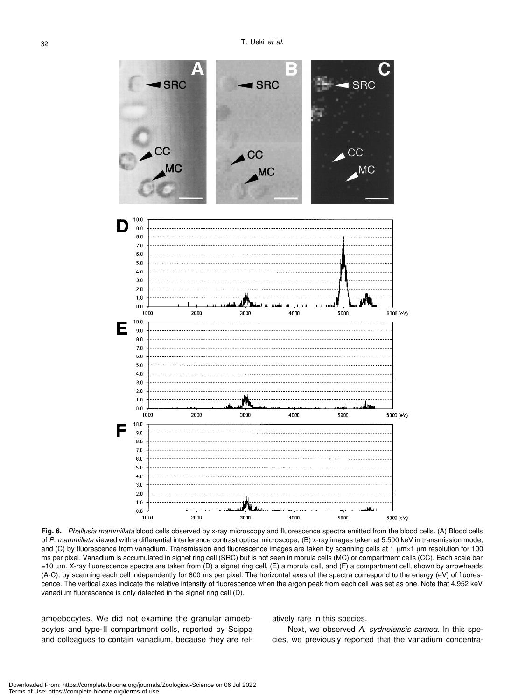

**Fig. 6.** *Phallusia mammillata* blood cells observed by x-ray microscopy and fluorescence spectra emitted from the blood cells. (A) Blood cells of *P. mammillata* viewed with a differential interference contrast optical microscope, (B) x-ray images taken at 5.500 keV in transmission mode, and (C) by fluorescence from vanadium. Transmission and fluorescence images are taken by scanning cells at 1  $\mu$ m  $\times$ 1  $\mu$ m resolution for 100 ms per pixel. Vanadium is accumulated in signet ring cell (SRC) but is not seen in morula cells (MC) or compartment cells (CC). Each scale bar =10 µm. X-ray fluorescence spectra are taken from (D) a signet ring cell, (E) a morula cell, and (F) a compartment cell, shown by arrowheads (A-C), by scanning each cell independently for 800 ms per pixel. The horizontal axes of the spectra correspond to the energy (eV) of fluorescence. The vertical axes indicate the relative intensity of fluorescence when the argon peak from each cell was set as one. Note that 4.952 keV vanadium fluorescence is only detected in the signet ring cell (D).

amoebocytes. We did not examine the granular amoebocytes and type-II compartment cells, reported by Scippa and colleagues to contain vanadium, because they are relatively rare in this species.

Next, we observed *A. sydneiensis samea*. In this species, we previously reported that the vanadium concentra-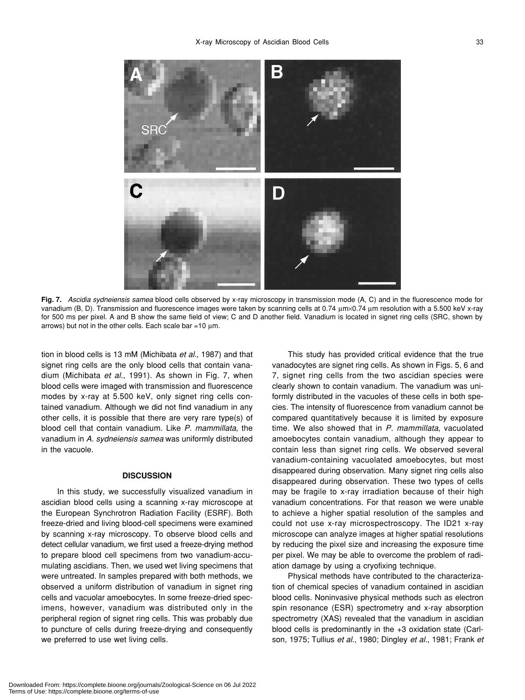

**Fig. 7.** *Ascidia sydneiensis samea* blood cells observed by x-ray microscopy in transmission mode (A, C) and in the fluorescence mode for vanadium (B, D). Transmission and fluorescence images were taken by scanning cells at 0.74  $\mu$ m×0.74  $\mu$ m resolution with a 5.500 keV x-ray for 500 ms per pixel. A and B show the same field of view; C and D another field. Vanadium is located in signet ring cells (SRC, shown by arrows) but not in the other cells. Each scale bar =10  $\mu$ m.

tion in blood cells is 13 mM (Michibata *et al.*, 1987) and that signet ring cells are the only blood cells that contain vanadium (Michibata *et al.*, 1991). As shown in Fig. 7, when blood cells were imaged with transmission and fluorescence modes by x-ray at 5.500 keV, only signet ring cells contained vanadium. Although we did not find vanadium in any other cells, it is possible that there are very rare type(s) of blood cell that contain vanadium. Like *P. mammillata*, the vanadium in *A. sydneiensis samea* was uniformly distributed in the vacuole.

#### **DISCUSSION**

In this study, we successfully visualized vanadium in ascidian blood cells using a scanning x-ray microscope at the European Synchrotron Radiation Facility (ESRF). Both freeze-dried and living blood-cell specimens were examined by scanning x-ray microscopy. To observe blood cells and detect cellular vanadium, we first used a freeze-drying method to prepare blood cell specimens from two vanadium-accumulating ascidians. Then, we used wet living specimens that were untreated. In samples prepared with both methods, we observed a uniform distribution of vanadium in signet ring cells and vacuolar amoebocytes. In some freeze-dried specimens, however, vanadium was distributed only in the peripheral region of signet ring cells. This was probably due to puncture of cells during freeze-drying and consequently we preferred to use wet living cells.

This study has provided critical evidence that the true vanadocytes are signet ring cells. As shown in Figs. 5, 6 and 7, signet ring cells from the two ascidian species were clearly shown to contain vanadium. The vanadium was uniformly distributed in the vacuoles of these cells in both species. The intensity of fluorescence from vanadium cannot be compared quantitatively because it is limited by exposure time. We also showed that in *P. mammillata*, vacuolated amoebocytes contain vanadium, although they appear to contain less than signet ring cells. We observed several vanadium-containing vacuolated amoebocytes, but most disappeared during observation. Many signet ring cells also disappeared during observation. These two types of cells may be fragile to x-ray irradiation because of their high vanadium concentrations. For that reason we were unable to achieve a higher spatial resolution of the samples and could not use x-ray microspectroscopy. The ID21 x-ray microscope can analyze images at higher spatial resolutions by reducing the pixel size and increasing the exposure time per pixel. We may be able to overcome the problem of radiation damage by using a cryofixing technique.

Physical methods have contributed to the characterization of chemical species of vanadium contained in ascidian blood cells. Noninvasive physical methods such as electron spin resonance (ESR) spectrometry and x-ray absorption spectrometry (XAS) revealed that the vanadium in ascidian blood cells is predominantly in the +3 oxidation state (Carlson, 1975; Tullius *et al*., 1980; Dingley *et al.*, 1981; Frank *et*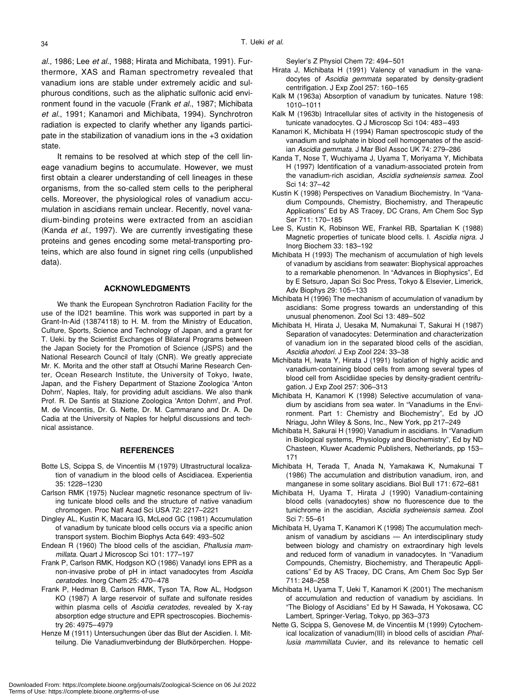*al.*, 1986; Lee *et al.*, 1988; Hirata and Michibata, 1991). Furthermore, XAS and Raman spectrometry revealed that vanadium ions are stable under extremely acidic and sulphurous conditions, such as the aliphatic sulfonic acid environment found in the vacuole (Frank *et al.*, 1987; Michibata *et al.*, 1991; Kanamori and Michibata, 1994). Synchrotron radiation is expected to clarify whether any ligands participate in the stabilization of vanadium ions in the +3 oxidation state.

It remains to be resolved at which step of the cell lineage vanadium begins to accumulate. However, we must first obtain a clearer understanding of cell lineages in these organisms, from the so-called stem cells to the peripheral cells. Moreover, the physiological roles of vanadium accumulation in ascidians remain unclear. Recently, novel vanadium-binding proteins were extracted from an ascidian (Kanda *et al*., 1997). We are currently investigating these proteins and genes encoding some metal-transporting proteins, which are also found in signet ring cells (unpublished data).

#### **ACKNOWLEDGMENTS**

We thank the European Synchrotron Radiation Facility for the use of the ID21 beamline. This work was supported in part by a Grant-In-Aid (13874118) to H. M. from the Ministry of Education, Culture, Sports, Science and Technology of Japan, and a grant for T. Ueki. by the Scientist Exchanges of Bilateral Programs between the Japan Society for the Promotion of Science (JSPS) and the National Research Council of Italy (CNR). We greatly appreciate Mr. K. Morita and the other staff at Otsuchi Marine Research Center, Ocean Research Institute, the University of Tokyo, Iwate, Japan, and the Fishery Department of Stazione Zoologica 'Anton Dohrn', Naples, Italy, for providing adult ascidians. We also thank Prof. R. De Santis at Stazione Zoologica 'Anton Dohrn', and Prof. M. de Vincentiis, Dr. G. Nette, Dr. M. Cammarano and Dr. A. De Cadia at the University of Naples for helpful discussions and technical assistance.

#### **REFERENCES**

- Botte LS, Scippa S, de Vincentiis M (1979) Ultrastructural localization of vanadium in the blood cells of Ascidiacea. Experientia 35: 1228–1230
- Carlson RMK (1975) Nuclear magnetic resonance spectrum of living tunicate blood cells and the structure of native vanadium chromogen. Proc Natl Acad Sci USA 72: 2217–2221
- Dingley AL, Kustin K, Macara IG, McLeod GC (1981) Accumulation of vanadium by tunicate blood cells occurs via a specific anion transport system. Biochim Biophys Acta 649: 493–502
- Endean R (1960) The blood cells of the ascidian, *Phallusia mammillata*. Quart J Microscop Sci 101: 177–197
- Frank P, Carlson RMK, Hodgson KO (1986) Vanadyl ions EPR as a non-invasive probe of pH in intact vanadocytes from *Ascidia ceratodes*. Inorg Chem 25: 470–478
- Frank P, Hedman B, Carlson RMK, Tyson TA, Row AL, Hodgson KO (1987) A large reservoir of sulfate and sulfonate resides within plasma cells of *Ascidia ceratodes*, revealed by X-ray absorption edge structure and EPR spectroscopies. Biochemistry 26: 4975–4979
- Henze M (1911) Untersuchungen über das Blut der Ascidien. I. Mitteilung. Die Vanadiumverbindung der Blutkörperchen. Hoppe-

Seyler's Z Physiol Chem 72: 494–501

- Hirata J, Michibata H (1991) Valency of vanadium in the vanadocytes of *Ascidia gemmata* separated by density-gradient centrifigation. J Exp Zool 257: 160–165
- Kalk M (1963a) Absorption of vanadium by tunicates. Nature 198: 1010–1011
- Kalk M (1963b) Intracellular sites of activity in the histogenesis of tunicate vanadocytes. Q J Microscop Sci 104: 483–493
- Kanamori K, Michibata H (1994) Raman spectroscopic study of the vanadium and sulphate in blood cell homogenates of the ascidian *Ascidia gemmata*. J Mar Biol Assoc UK 74: 279–286
- Kanda T, Nose T, Wuchiyama J, Uyama T, Moriyama Y, Michibata H (1997) Identification of a vanadium-associated protein from the vanadium-rich ascidian, *Ascidia sydneiensis samea*. Zool Sci 14: 37–42
- Kustin K (1998) Perspectives on Vanadium Biochemistry. In "Vanadium Compounds, Chemistry, Biochemistry, and Therapeutic Applications" Ed by AS Tracey, DC Crans, Am Chem Soc Syp Ser 711: 170–185
- Lee S, Kustin K, Robinson WE, Frankel RB, Spartalian K (1988) Magnetic properties of tunicate blood cells. I. *Ascidia nigra*. J Inorg Biochem 33: 183–192
- Michibata H (1993) The mechanism of accumulation of high levels of vanadium by ascidians from seawater: Biophysical approaches to a remarkable phenomenon. In "Advances in Biophysics", Ed by E Setsuro, Japan Sci Soc Press, Tokyo & Elsevier, Limerick, Adv Biophys 29: 105–133
- Michibata H (1996) The mechanism of accumulation of vanadium by ascidians: Some progress towards an understanding of this unusual phenomenon. Zool Sci 13: 489–502
- Michibata H, Hirata J, Uesaka M, Numakunai T, Sakurai H (1987) Separation of vanadocytes: Determination and characterization of vanadium ion in the separated blood cells of the ascidian, *Ascidia ahodori*. J Exp Zool 224: 33–38
- Michibata H, Iwata Y, Hirata J (1991) Isolation of highly acidic and vanadium-containing blood cells from among several types of blood cell from Ascidiidae species by density-gradient centrifugation. J Exp Zool 257: 306–313
- Michibata H, Kanamori K (1998) Selective accumulation of vanadium by ascidians from sea water. In "Vanadiums in the Environment. Part 1: Chemistry and Biochemistry", Ed by JO Nriagu, John Wiley & Sons, Inc., New York, pp 217–249
- Michibata H, Sakurai H (1990) Vanadium in ascidians. In "Vanadium in Biological systems, Physiology and Biochemistry", Ed by ND Chasteen, Kluwer Academic Publishers, Netherlands, pp 153– 171
- Michibata H, Terada T, Anada N, Yamakawa K, Numakunai T (1986) The accumulation and distribution vanadium, iron, and manganese in some solitary ascidians. Biol Bull 171: 672–681
- Michibata H, Uyama T, Hirata J (1990) Vanadium-containing blood cells (vanadocytes) show no fluorescence due to the tunichrome in the ascidian, *Ascidia sydneiensis samea*. Zool Sci 7: 55–61
- Michibata H, Uyama T, Kanamori K (1998) The accumulation mechanism of vanadium by ascidians — An interdisciplinary study between biology and chamistry on extraordinary high levels and reduced form of vanadium in vanadocytes. In "Vanadium Compounds, Chemistry, Biochemistry, and Therapeutic Applications" Ed by AS Tracey, DC Crans, Am Chem Soc Syp Ser 711: 248–258
- Michibata H, Uyama T, Ueki T, Kanamori K (2001) The mechanism of accumulation and reduction of vanadium by ascidians. In "The Biology of Ascidians" Ed by H Sawada, H Yokosawa, CC Lambert, Springer-Verlag, Tokyo, pp 363–373
- Nette G, Scippa S, Genovese M, de Vincentiis M (1999) Cytochemical localization of vanadium(III) in blood cells of ascidian *Phallusia mammillata* Cuvier, and its relevance to hematic cell